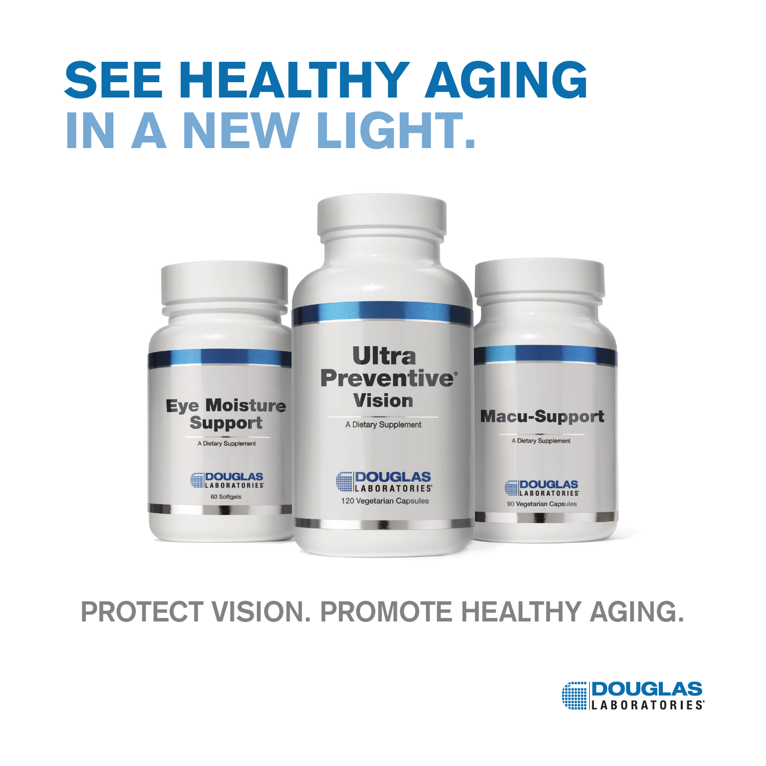

## **PROTECT VISION. PROMOTE HEALTHY AGING.**

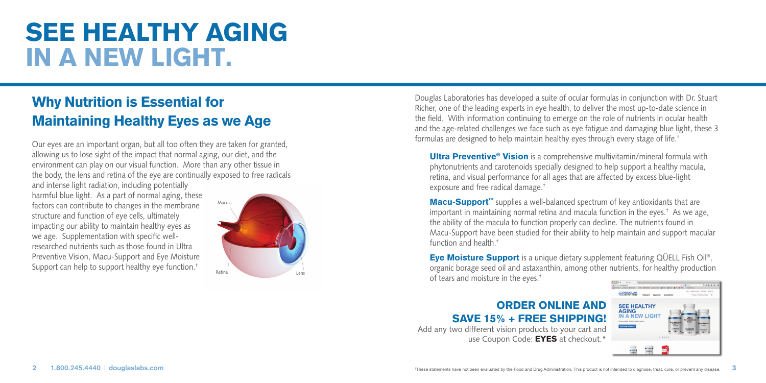## Why Nutrition is Essential for Maintaining Healthy Eyes as we Age

Our eyes are an important organ, but all too often they are taken for granted, allowing us to lose sight of the impact that normal aging, our diet, and the environment can play on our visual function. More than any other tissue in the body, the lens and retina of the eye are continually exposed to free radicals

and intense light radiation, including potentially harmful blue light. As a part of normal aging, these factors can contribute to changes in the membrane structure and function of eye cells, ultimately impacting our ability to maintain healthy eyes as we age. Supplementation with specific wellresearched nutrients such as those found in Ultra Preventive Vision, Macu-Support and Eye Moisture Support can help to support healthy eye function.†



Douglas Laboratories has developed a suite of ocular formulas in conjunction with Dr. Stuart Richer, one of the leading experts in eye health, to deliver the most up-to-date science in the field. With information continuing to emerge on the role of nutrients in ocular health and the age-related challenges we face such as eye fatigue and damaging blue light, these 3 formulas are designed to help maintain healthy eyes through every stage of life.†

**Ultra Preventive<sup>®</sup> Vision** is a comprehensive multivitamin/mineral formula with phytonutrients and carotenoids specially designed to help support a healthy macula, retina, and visual performance for all ages that are affected by excess blue-light exposure and free radical damage.†

Macu-Support<sup>™</sup> supplies a well-balanced spectrum of key antioxidants that are important in maintaining normal retina and macula function in the eyes.† As we age, the ability of the macula to function properly can decline. The nutrients found in Macu-Support have been studied for their ability to help maintain and support macular function and health.†

Eye Moisture Support is a unique dietary supplement featuring QÜELL Fish Oil®, organic borage seed oil and astaxanthin, among other nutrients, for healthy production of tears and moisture in the eyes.†

### ORDER ONLINE AND SAVE 15% + FREE SHIPPING!

Add any two different vision products to your cart and use Coupon Code: **EYES** at checkout.\*

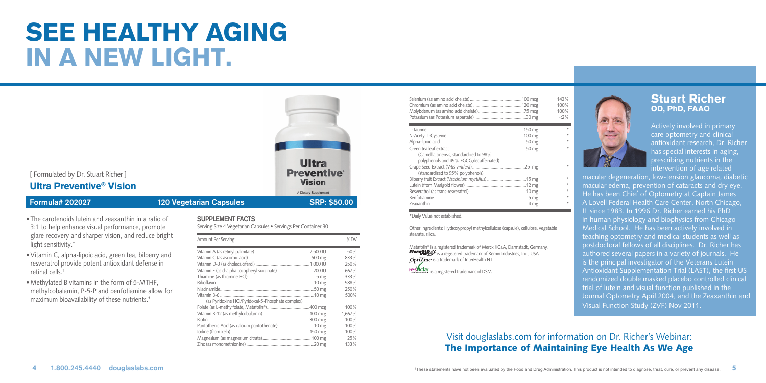

- The carotenoids lutein and zeaxanthin in a ratio of 3:1 to help enhance visual performance, promote glare recovery and sharper vision, and reduce bright light sensitivity.†
- •Vitamin C, alpha-lipoic acid, green tea, bilberry and resveratrol provide potent antioxidant defense in retinal cells.†
- Methylated B vitamins in the form of 5-MTHF, methylcobalamin, P-5-P and benfotiamine allow for maximum bioavailability of these nutrients.†

#### **SUPPLEMENT FACTS**

Serving Size 4 Vegetarian Capsules • Servings Per Container 30

| Amount Per Serving                                | %DV    |
|---------------------------------------------------|--------|
|                                                   | 50%    |
|                                                   | 833%   |
|                                                   | 250%   |
| Vitamin E (as d-alpha tocopheryl succinate)200 IU | 667%   |
|                                                   | 333%   |
|                                                   | 588%   |
|                                                   | 250%   |
|                                                   | 500%   |
| (as Pyridoxine HCl/Pyridoxal-5-Phosphate complex) |        |
|                                                   | 100%   |
|                                                   | 1.667% |
|                                                   | 100%   |
|                                                   | 100%   |
|                                                   | 100%   |
|                                                   | 25%    |
|                                                   | 133%   |

|                                                                                      | 143%<br>100%<br>100%<br>2% |
|--------------------------------------------------------------------------------------|----------------------------|
|                                                                                      |                            |
|                                                                                      |                            |
|                                                                                      |                            |
| (Camellia sinensis, standardized to 98%)<br>polyphenols and 45% EGCG, decaffeinated) |                            |
| (standardized to 95% polyphenols)                                                    |                            |
|                                                                                      |                            |
|                                                                                      | #                          |
|                                                                                      |                            |
|                                                                                      |                            |
|                                                                                      |                            |

#### \*Daily Value not established.

Other Ingredients: Hydroxypropyl methylcellulose (capsule), cellulose, vegetable stearate, silica.

Metafolin® is a registered trademark of Merck KGaA, Darmstadt, Germany. **Fore CLO**<sup>3</sup> is a registered trademark of Kemin Industries, Inc., USA.  $\delta$ **pti** $\text{Zinc}$  is a trademark of InterHealth N.I.



# ٠

Actively involved in primary care optometry and clinical antioxidant research, Dr. Richer has special interests in aging, prescribing nutrients in the intervention of age related

Stuart Richer OD, PhD, FAAO

macular degeneration, low-tension glaucoma, diabetic macular edema, prevention of cataracts and dry eye. He has been Chief of Optometry at Captain James A Lovell Federal Health Care Center, North Chicago, IL since 1983. In 1996 Dr. Richer earned his PhD in human physiology and biophysics from Chicago Medical School. He has been actively involved in teaching optometry and medical students as well as postdoctoral fellows of all disciplines. Dr. Richer has authored several papers in a variety of journals. He is the principal investigator of the Veterans Lutein Antioxidant Supplementation Trial (LAST), the first US randomized double masked placebo controlled clinical trial of lutein and visual function published in the Journal Optometry April 2004, and the Zeaxanthin and Visual Function Study (ZVF) Nov 2011.

Visit douglaslabs.com for information on Dr. Richer's Webinar: The Importance of Maintaining Eye Health As We Age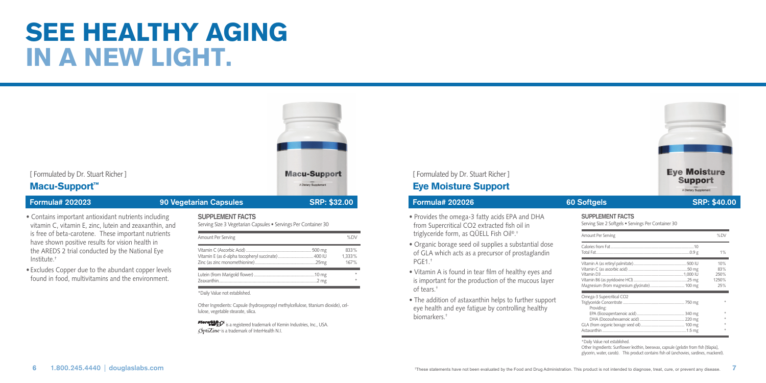

Other Ingredients: Capsule (hydroxypropyl methylcellulose, titanium dioxide), cellulose, vegetable stearate, silica.

**Flore@LOS** is a registered trademark of Kemin Industries, Inc., USA. **OptiZinc** is a trademark of InterHealth N.I.

## eye health and eye fatigue by controlling healthy biomarkers.†

#### 1.800.245.4440 douglaslabs.com examples are the evaluated by the Food and Drug Administration. This product is not intended to diagnose, treat, cure, or prevent any disease.

Providing:

DHA (Docosahexaenoic acid)...

\*Daily Value not established.

EPA (Eicosapentaenoic acid).............................................. 340 mg \*

Other Ingredients: Sunflower lecithin, beeswax, capsule (gelatin from fish [tilapia], glycerin, water, carob). This product contains fish oil (anchovies, sardines, mackerel).

GLA (from organic borage seed oil).......................................... 100 mg \* Astaxanthin .................................................................................1.5 mg \*